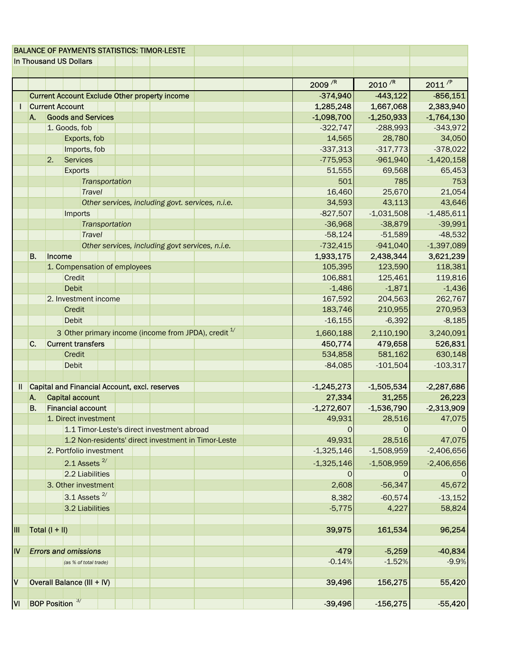|                         |                                           |                                                       |               |                            |                |              |              | <b>BALANCE OF PAYMENTS STATISTICS: TIMOR-LESTE</b> |              |                        |                    |              |
|-------------------------|-------------------------------------------|-------------------------------------------------------|---------------|----------------------------|----------------|--------------|--------------|----------------------------------------------------|--------------|------------------------|--------------------|--------------|
|                         | In Thousand US Dollars                    |                                                       |               |                            |                |              |              |                                                    |              |                        |                    |              |
|                         |                                           |                                                       |               |                            |                |              |              |                                                    |              |                        |                    |              |
|                         |                                           |                                                       |               |                            |                |              |              |                                                    |              | 2009/R                 | 2010 <sup>/R</sup> | $2011^{P}$   |
|                         |                                           | <b>Current Account Exclude Other property income</b>  |               |                            |                |              |              |                                                    |              | $-374,940$             | $-443,122$         | $-856,151$   |
|                         |                                           | <b>Current Account</b>                                |               |                            |                |              |              |                                                    |              | 1,285,248              | 1,667,068          | 2,383,940    |
|                         | A.                                        | <b>Goods and Services</b>                             |               |                            |                | $-1,098,700$ | $-1,250,933$ | $-1,764,130$                                       |              |                        |                    |              |
|                         |                                           | 1. Goods, fob                                         |               |                            |                | $-322,747$   | $-288,993$   | $-343,972$                                         |              |                        |                    |              |
|                         |                                           | Exports, fob                                          |               |                            |                |              |              | 14,565                                             | 28,780       | 34,050                 |                    |              |
|                         |                                           | Imports, fob                                          |               |                            |                |              |              |                                                    | $-337,313$   | $-317,773$             | $-378,022$         |              |
|                         |                                           | <b>Services</b><br>2.                                 |               |                            |                |              |              |                                                    | $-775,953$   | $-961,940$             | $-1,420,158$       |              |
|                         |                                           | <b>Exports</b>                                        |               |                            |                |              |              | 51,555                                             | 69,568       | 65,453                 |                    |              |
|                         |                                           |                                                       |               |                            | Transportation |              |              |                                                    |              | 501                    | 785                | 753          |
|                         |                                           |                                                       |               | <b>Travel</b>              |                |              |              |                                                    |              | 16,460                 | 25,670             | 21,054       |
|                         |                                           | Other services, including govt. services, n.i.e.      |               |                            |                | 34,593       | 43,113       | 43,646                                             |              |                        |                    |              |
|                         |                                           | Imports                                               |               |                            |                |              |              | $-827,507$                                         | $-1,031,508$ | $-1,485,611$           |                    |              |
|                         |                                           |                                                       |               |                            | Transportation |              |              |                                                    |              | $-36,968$              | $-38,879$          | $-39,991$    |
|                         |                                           |                                                       |               | <b>Travel</b>              |                |              |              |                                                    |              | $-58,124$              | $-51,589$          | $-48,532$    |
|                         |                                           |                                                       |               |                            |                |              |              | Other services, including govt services, n.i.e.    |              | $-732,415$             | $-941,040$         | $-1,397,089$ |
|                         | <b>B.</b>                                 | Income                                                |               |                            |                |              | 1,933,175    | 2,438,344                                          | 3,621,239    |                        |                    |              |
|                         |                                           | 1. Compensation of employees                          |               |                            |                |              |              |                                                    | 105,395      | 123,590                | 118,381            |              |
|                         |                                           |                                                       | <b>Credit</b> |                            |                |              |              |                                                    |              | 106,881                | 125,461            | 119,816      |
|                         |                                           | <b>Debit</b><br>2. Investment income                  |               |                            |                |              | $-1,486$     | $-1,871$                                           | $-1,436$     |                        |                    |              |
|                         |                                           |                                                       |               |                            |                |              |              |                                                    |              | 167,592                | 204,563            | 262,767      |
|                         |                                           | <b>Credit</b>                                         |               |                            |                | 183,746      | 210,955      | 270,953                                            |              |                        |                    |              |
|                         |                                           | <b>Debit</b>                                          |               |                            |                |              |              |                                                    | $-16,155$    | $-6,392$               | $-8,185$           |              |
|                         |                                           | 3 Other primary income (income from JPDA), credit $1$ |               |                            |                |              |              |                                                    |              | 1,660,188              | 2,110,190          | 3,240,091    |
|                         | C.                                        | <b>Current transfers</b>                              |               |                            |                |              |              |                                                    | 450,774      | 479,658                | 526,831            |              |
|                         |                                           |                                                       | <b>Credit</b> |                            |                |              |              |                                                    |              | 534,858                | 581,162            | 630,148      |
|                         |                                           |                                                       | <b>Debit</b>  |                            |                |              |              |                                                    |              | $-84,085$              | $-101,504$         | $-103,317$   |
|                         |                                           |                                                       |               |                            |                |              |              |                                                    |              |                        |                    |              |
| II                      |                                           | Capital and Financial Account, excl. reserves         |               |                            |                |              |              |                                                    |              | $-1,245,273$           | $-1,505,534$       | $-2,287,686$ |
|                         | A.                                        | <b>Capital account</b>                                |               |                            |                |              |              |                                                    |              | 27,334                 | 31,255             | 26,223       |
|                         | <b>B.</b>                                 | <b>Financial account</b>                              |               |                            |                |              |              |                                                    | $-1,272,607$ | $-1,536,790$           | $-2,313,909$       |              |
|                         | 1. Direct investment                      |                                                       |               |                            |                |              |              |                                                    |              | 49,931                 | 28,516             | 47,075       |
|                         |                                           | 1.1 Timor-Leste's direct investment abroad            |               |                            |                |              |              |                                                    |              | O                      | O                  |              |
|                         |                                           | 1.2 Non-residents' direct investment in Timor-Leste   |               |                            |                |              |              |                                                    |              | 49,931<br>$-1,325,146$ | 28,516             | 47,075       |
|                         |                                           | 2. Portfolio investment<br>2.1 Assets $^{2/}$         |               |                            |                |              |              |                                                    | $-1,508,959$ | $-2,406,656$           |                    |              |
|                         |                                           |                                                       |               |                            |                |              |              |                                                    |              | $-1,325,146$           | $-1,508,959$       | $-2,406,656$ |
|                         |                                           | 2.2 Liabilities                                       |               | 0                          | O              |              |              |                                                    |              |                        |                    |              |
|                         | 3. Other investment<br>3.1 Assets $^{2/}$ |                                                       |               |                            | 2,608          | $-56,347$    | 45,672       |                                                    |              |                        |                    |              |
|                         |                                           |                                                       |               |                            |                |              |              |                                                    |              | 8,382                  | $-60,574$          | $-13,152$    |
|                         |                                           |                                                       |               | 3.2 Liabilities            |                |              |              |                                                    |              | $-5,775$               | 4,227              | 58,824       |
|                         |                                           |                                                       |               |                            |                |              |              |                                                    |              |                        |                    |              |
| $\mathsf{III}$          |                                           | Total $(I + II)$                                      |               |                            |                |              |              |                                                    |              | 39,975                 | 161,534            | 96,254       |
| IV                      |                                           | <b>Errors and omissions</b>                           |               |                            |                | $-479$       | $-5,259$     | $-40,834$                                          |              |                        |                    |              |
|                         |                                           |                                                       |               | (as % of total trade)      |                |              |              |                                                    |              | $-0.14%$               | $-1.52%$           | $-9.9%$      |
|                         |                                           |                                                       |               |                            |                |              |              |                                                    |              |                        |                    |              |
| $\overline{\mathsf{v}}$ |                                           |                                                       |               | Overall Balance (III + IV) |                |              |              |                                                    |              | 39,496                 | 156,275            | 55,420       |
|                         |                                           |                                                       |               |                            |                |              |              |                                                    |              |                        |                    |              |
| ΙVΙ                     |                                           | <b>BOP Position</b> <sup>3/</sup>                     |               |                            |                |              |              |                                                    |              | $-39,496$              | $-156,275$         | $-55,420$    |